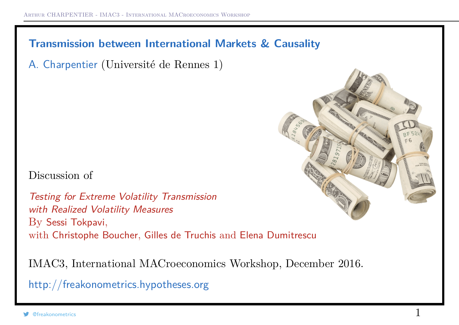## **Transmission between International Markets & Causality**

A. Charpentier (Université de Rennes 1)

Discussion of

Testing for Extreme Volatility Transmission with Realized Volatility Measures By Sessi Tokpavi, with Christophe Boucher, Gilles de Truchis and Elena Dumitrescu

IMAC3, International MACroeconomics Workshop, December 2016.

http://freakonometrics.hypotheses.org

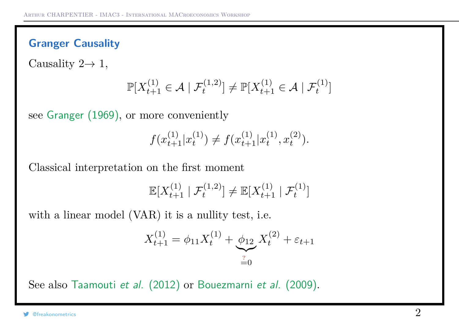## **Granger Causality**

Causality  $2 \rightarrow 1$ ,

$$
\mathbb{P}[X_{t+1}^{(1)} \in \mathcal{A} \mid \mathcal{F}_t^{(1,2)}] \neq \mathbb{P}[X_{t+1}^{(1)} \in \mathcal{A} \mid \mathcal{F}_t^{(1)}]
$$

see Granger (1969), or more conveniently

$$
f(x_{t+1}^{(1)}|x_t^{(1)}) \neq f(x_{t+1}^{(1)}|x_t^{(1)}, x_t^{(2)}).
$$

Classical interpretation on the first moment

$$
\mathbb{E}[X_{t+1}^{(1)} | \mathcal{F}_t^{(1,2)}] \neq \mathbb{E}[X_{t+1}^{(1)} | \mathcal{F}_t^{(1)}]
$$

with a linear model (VAR) it is a nullity test, i.e.

$$
X_{t+1}^{(1)} = \phi_{11} X_t^{(1)} + \underbrace{\phi_{12}}_{=0} X_t^{(2)} + \varepsilon_{t+1}
$$

See also Taamouti et al. (2012) or Bouezmarni et al. (2009).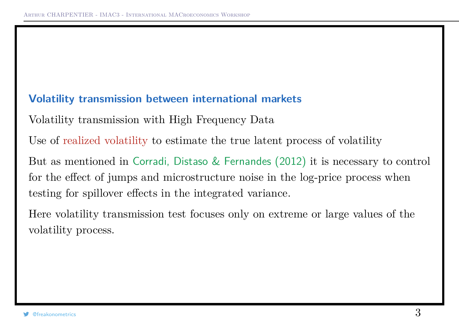#### **Volatility transmission between international markets**

Volatility transmission with High Frequency Data

Use of realized volatility to estimate the true latent process of volatility

But as mentioned in Corradi, Distaso & Fernandes (2012) it is necessary to control for the effect of jumps and microstructure noise in the log-price process when testing for spillover effects in the integrated variance.

Here volatility transmission test focuses only on extreme or large values of the volatility process.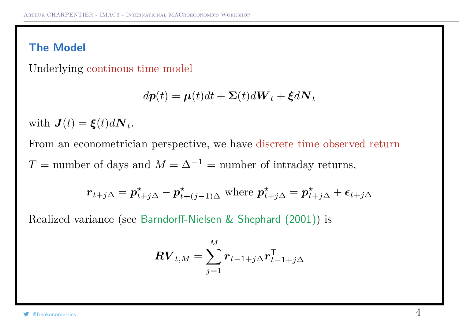# **The Model**

Underlying continous time model

$$
d\boldsymbol{p}(t) = \boldsymbol{\mu}(t)dt + \boldsymbol{\Sigma}(t)d\boldsymbol{W}_t + \boldsymbol{\xi}d\boldsymbol{N}_t
$$

with  $J(t) = \xi(t) dN_t$ .

From an econometrician perspective, we have discrete time observed return  $T =$  number of days and  $M = \Delta^{-1} =$  number of intraday returns,

$$
\boldsymbol{r}_{t+j\Delta} = \boldsymbol{p}_{t+j\Delta}^{\star} - \boldsymbol{p}_{t+(j-1)\Delta}^{\star} \text{ where } \boldsymbol{p}_{t+j\Delta}^{\star} = \boldsymbol{p}_{t+j\Delta}^{\star} + \boldsymbol{\epsilon}_{t+j\Delta}
$$

Realized variance (see Barndorff-Nielsen & Shephard (2001)) is

$$
\boldsymbol{RV}_{t,M} = \sum_{j=1}^{M} \boldsymbol{r}_{t-1+j\Delta} \boldsymbol{r}_{t-1+j\Delta}^\mathsf{T}
$$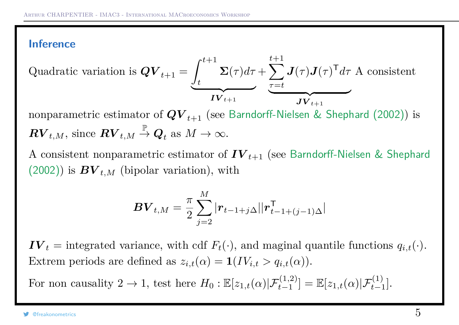## **Inference**

Quadratic variation is 
$$
\mathbf{Q}\mathbf{V}_{t+1} = \underbrace{\int_{t}^{t+1} \mathbf{\Sigma}(\tau) d\tau}_{\mathbf{IV}_{t+1}} + \underbrace{\sum_{\tau=t}^{t+1} \mathbf{J}(\tau) \mathbf{J}(\tau)}_{\mathbf{JV}_{t+1}} \mathbf{A} \text{ consistent}
$$

nonparametric estimator of  $QV_{t+1}$  (see Barndorff-Nielsen & Shephard (2002)) is  $\boldsymbol{RV}_{t,M}, \,\text{since } \boldsymbol{RV}_{t,M}$ P  $\stackrel{\mathbb{I}}{\rightarrow} \mathbf{Q}_t$  as  $M \rightarrow \infty$ .

A consistent nonparametric estimator of *IV <sup>t</sup>*+1 (see Barndorff-Nielsen & Shephard  $(2002)$ ) is  $BV_{t,M}$  (bipolar variation), with

$$
\bm{BV}_{t,M} = \frac{\pi}{2} \sum_{j=2}^M |\bm{r}_{t-1+j\Delta}||\bm{r}_{t-1+(j-1)\Delta}^{\mathsf{T}}|
$$

 $\mathbf{IV}_t$  = integrated variance, with cdf  $F_t(\cdot)$ , and maginal quantile functions  $q_{i,t}(\cdot)$ . Extrem periods are defined as  $z_{i,t}(\alpha) = \mathbf{1}(IV_{i,t} > q_{i,t}(\alpha)).$ 

For non causality  $2 \to 1$ , test here  $H_0: \mathbb{E}[z_{1,t}(\alpha)|\mathcal{F}_{t-1}^{(1,2)}] = \mathbb{E}[z_{1,t}(\alpha)|\mathcal{F}_{t-1}^{(1)}].$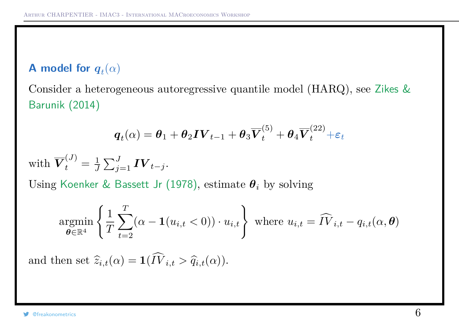# **A** model for  $q_t(\alpha)$

Consider a heterogeneous autoregressive quantile model (HARQ), see Zikes & Barunik (2014)

$$
\boldsymbol{q}_t(\alpha) = \boldsymbol{\theta}_1 + \boldsymbol{\theta}_2\boldsymbol{IV}_{t-1} + \boldsymbol{\theta}_3\overline{\boldsymbol{V}}_t^{(5)} + \boldsymbol{\theta}_4\overline{\boldsymbol{V}}_t^{(22)} + \boldsymbol{\varepsilon}_t
$$

with *V* (*J*)  $t^{(J)} = \frac{1}{J}$  $\frac{1}{J}\sum_{j=1}^J \bm{IV}_{t-j}.$ 

Using Koenker & Bassett Jr (1978), estimate *θ<sup>i</sup>* by solving

$$
\underset{\boldsymbol{\theta} \in \mathbb{R}^4}{\text{argmin}} \left\{ \frac{1}{T} \sum_{t=2}^T (\alpha - \mathbf{1}(u_{i,t} < 0)) \cdot u_{i,t} \right\} \text{ where } u_{i,t} = \widehat{IV}_{i,t} - q_{i,t}(\alpha, \boldsymbol{\theta})
$$

and then set  $\widehat{z}_{i,t}(\alpha) = \mathbf{1}(\widehat{IV}_{i,t} > \widehat{q}_{i,t}(\alpha)).$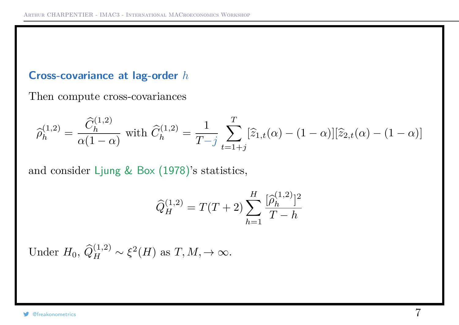#### **Cross-covariance at lag-order** *h*

Then compute cross-covariances

$$
\widehat{\rho}_h^{(1,2)} = \frac{\widehat{C}_h^{(1,2)}}{\alpha(1-\alpha)} \text{ with } \widehat{C}_h^{(1,2)} = \frac{1}{T-j} \sum_{t=1+j}^T [\widehat{z}_{1,t}(\alpha) - (1-\alpha)][\widehat{z}_{2,t}(\alpha) - (1-\alpha)]
$$

and consider Ljung & Box (1978)'s statistics,

$$
\widehat{Q}_{H}^{(1,2)} = T(T+2) \sum_{h=1}^{H} \frac{\widehat{p}_{h}^{(1,2)}\widehat{q}}{T-h}
$$

Under  $H_0$ ,  $\widehat{Q}_H^{(1,2)} \sim \xi^2(H)$  as  $T, M, \to \infty$ .